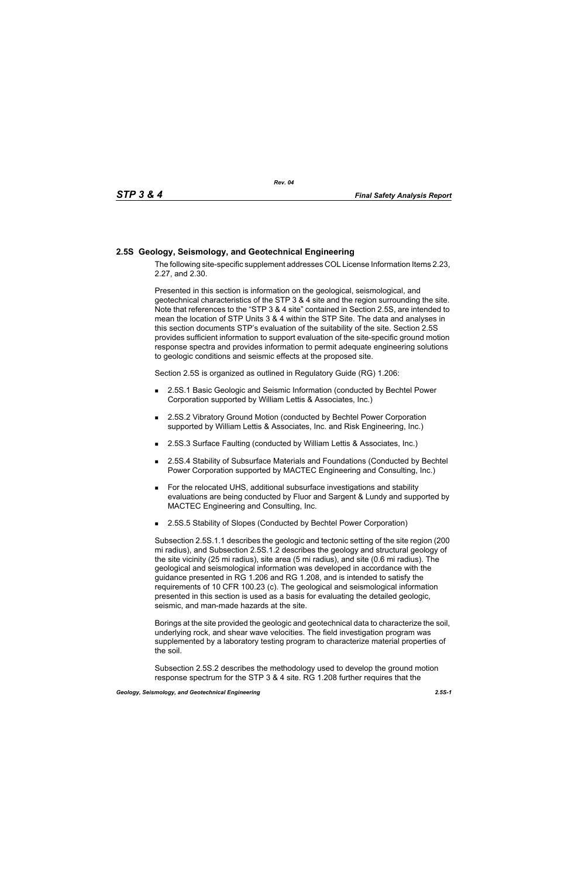## **2.5S Geology, Seismology, and Geotechnical Engineering**

The following site-specific supplement addresses COL License Information Items 2.23, 2.27, and 2.30.

Presented in this section is information on the geological, seismological, and geotechnical characteristics of the STP 3 & 4 site and the region surrounding the site. Note that references to the "STP 3 & 4 site" contained in Section 2.5S, are intended to mean the location of STP Units 3 & 4 within the STP Site. The data and analyses in this section documents STP's evaluation of the suitability of the site. Section 2.5S provides sufficient information to support evaluation of the site-specific ground motion response spectra and provides information to permit adequate engineering solutions to geologic conditions and seismic effects at the proposed site.

Section 2.5S is organized as outlined in Regulatory Guide (RG) 1.206:

- 2.5S.1 Basic Geologic and Seismic Information (conducted by Bechtel Power Corporation supported by William Lettis & Associates, Inc.)
- 2.5S.2 Vibratory Ground Motion (conducted by Bechtel Power Corporation supported by William Lettis & Associates, Inc. and Risk Engineering, Inc.)
- 2.5S.3 Surface Faulting (conducted by William Lettis & Associates, Inc.)
- 2.5S.4 Stability of Subsurface Materials and Foundations (Conducted by Bechtel Power Corporation supported by MACTEC Engineering and Consulting, Inc.)
- For the relocated UHS, additional subsurface investigations and stability evaluations are being conducted by Fluor and Sargent & Lundy and supported by MACTEC Engineering and Consulting, Inc.
- 2.5S.5 Stability of Slopes (Conducted by Bechtel Power Corporation)

Subsection 2.5S.1.1 describes the geologic and tectonic setting of the site region (200 mi radius), and Subsection 2.5S.1.2 describes the geology and structural geology of the site vicinity (25 mi radius), site area (5 mi radius), and site (0.6 mi radius). The geological and seismological information was developed in accordance with the guidance presented in RG 1.206 and RG 1.208, and is intended to satisfy the requirements of 10 CFR 100.23 (c). The geological and seismological information presented in this section is used as a basis for evaluating the detailed geologic, seismic, and man-made hazards at the site.

Borings at the site provided the geologic and geotechnical data to characterize the soil, underlying rock, and shear wave velocities. The field investigation program was supplemented by a laboratory testing program to characterize material properties of the soil.

Subsection 2.5S.2 describes the methodology used to develop the ground motion response spectrum for the STP 3 & 4 site. RG 1.208 further requires that the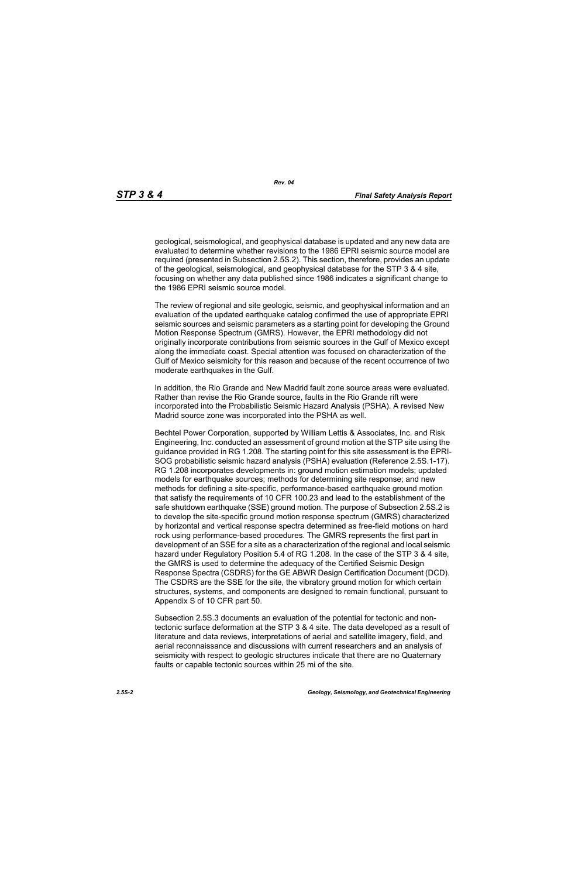*Rev. 04*

geological, seismological, and geophysical database is updated and any new data are evaluated to determine whether revisions to the 1986 EPRI seismic source model are required (presented in Subsection 2.5S.2). This section, therefore, provides an update of the geological, seismological, and geophysical database for the STP 3 & 4 site, focusing on whether any data published since 1986 indicates a significant change to the 1986 EPRI seismic source model.

The review of regional and site geologic, seismic, and geophysical information and an evaluation of the updated earthquake catalog confirmed the use of appropriate EPRI seismic sources and seismic parameters as a starting point for developing the Ground Motion Response Spectrum (GMRS). However, the EPRI methodology did not originally incorporate contributions from seismic sources in the Gulf of Mexico except along the immediate coast. Special attention was focused on characterization of the Gulf of Mexico seismicity for this reason and because of the recent occurrence of two moderate earthquakes in the Gulf.

In addition, the Rio Grande and New Madrid fault zone source areas were evaluated. Rather than revise the Rio Grande source, faults in the Rio Grande rift were incorporated into the Probabilistic Seismic Hazard Analysis (PSHA). A revised New Madrid source zone was incorporated into the PSHA as well.

Bechtel Power Corporation, supported by William Lettis & Associates, Inc. and Risk Engineering, Inc. conducted an assessment of ground motion at the STP site using the guidance provided in RG 1.208. The starting point for this site assessment is the EPRI-SOG probabilistic seismic hazard analysis (PSHA) evaluation (Reference 2.5S.1-17). RG 1.208 incorporates developments in: ground motion estimation models; updated models for earthquake sources; methods for determining site response; and new methods for defining a site-specific, performance-based earthquake ground motion that satisfy the requirements of 10 CFR 100.23 and lead to the establishment of the safe shutdown earthquake (SSE) ground motion. The purpose of Subsection 2.5S.2 is to develop the site-specific ground motion response spectrum (GMRS) characterized by horizontal and vertical response spectra determined as free-field motions on hard rock using performance-based procedures. The GMRS represents the first part in development of an SSE for a site as a characterization of the regional and local seismic hazard under Regulatory Position 5.4 of RG 1.208. In the case of the STP 3 & 4 site, the GMRS is used to determine the adequacy of the Certified Seismic Design Response Spectra (CSDRS) for the GE ABWR Design Certification Document (DCD). The CSDRS are the SSE for the site, the vibratory ground motion for which certain structures, systems, and components are designed to remain functional, pursuant to Appendix S of 10 CFR part 50.

Subsection 2.5S.3 documents an evaluation of the potential for tectonic and nontectonic surface deformation at the STP 3 & 4 site. The data developed as a result of literature and data reviews, interpretations of aerial and satellite imagery, field, and aerial reconnaissance and discussions with current researchers and an analysis of seismicity with respect to geologic structures indicate that there are no Quaternary faults or capable tectonic sources within 25 mi of the site.